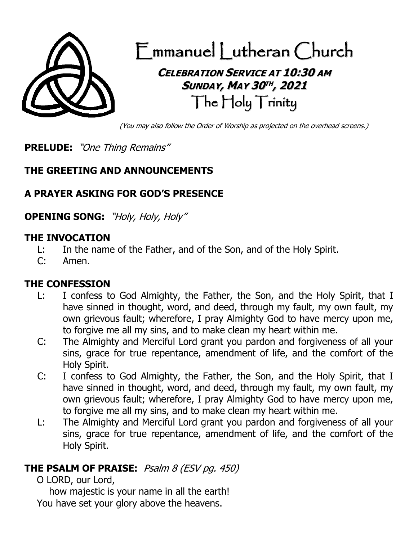

(You may also follow the Order of Worship as projected on the overhead screens.)

**PRELUDE:** "One Thing Remains"

#### **THE GREETING AND ANNOUNCEMENTS**

# **A PRAYER ASKING FOR GOD'S PRESENCE**

**OPENING SONG:** "Holy, Holy, Holy"

#### **THE INVOCATION**

- L: In the name of the Father, and of the Son, and of the Holy Spirit.
- C: Amen.

#### **THE CONFESSION**

- L: I confess to God Almighty, the Father, the Son, and the Holy Spirit, that I have sinned in thought, word, and deed, through my fault, my own fault, my own grievous fault; wherefore, I pray Almighty God to have mercy upon me, to forgive me all my sins, and to make clean my heart within me.
- C: The Almighty and Merciful Lord grant you pardon and forgiveness of all your sins, grace for true repentance, amendment of life, and the comfort of the Holy Spirit.
- C: I confess to God Almighty, the Father, the Son, and the Holy Spirit, that I have sinned in thought, word, and deed, through my fault, my own fault, my own grievous fault; wherefore, I pray Almighty God to have mercy upon me, to forgive me all my sins, and to make clean my heart within me.
- L: The Almighty and Merciful Lord grant you pardon and forgiveness of all your sins, grace for true repentance, amendment of life, and the comfort of the Holy Spirit.

#### **THE PSALM OF PRAISE:** Psalm 8 (ESV pg. 450)

O LORD, our Lord,

how majestic is your name in all the earth! You have set your glory above the heavens.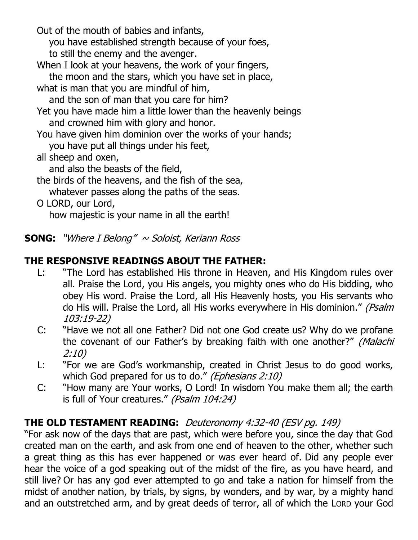Out of the mouth of babies and infants,

you have established strength because of your foes,

to still the enemy and the avenger.

When I look at your heavens, the work of your fingers,

the moon and the stars, which you have set in place,

what is man that you are mindful of him,

and the son of man that you care for him?

Yet you have made him a little lower than the heavenly beings and crowned him with glory and honor.

You have given him dominion over the works of your hands;

you have put all things under his feet,

all sheep and oxen,

and also the beasts of the field,

the birds of the heavens, and the fish of the sea, whatever passes along the paths of the seas.

O LORD, our Lord,

how majestic is your name in all the earth!

**SONG:** "Where I Belong" ~ Soloist, Keriann Ross

### **THE RESPONSIVE READINGS ABOUT THE FATHER:**

- L: "The Lord has established His throne in Heaven, and His Kingdom rules over all. Praise the Lord, you His angels, you mighty ones who do His bidding, who obey His word. Praise the Lord, all His Heavenly hosts, you His servants who do His will. Praise the Lord, all His works everywhere in His dominion." (Psalm 103:19-22)
- C: "Have we not all one Father? Did not one God create us? Why do we profane the covenant of our Father's by breaking faith with one another?" (Malachi 2:10)
- L: "For we are God's workmanship, created in Christ Jesus to do good works, which God prepared for us to do." (Ephesians 2:10)
- C: "How many are Your works, O Lord! In wisdom You make them all; the earth is full of Your creatures." (Psalm 104:24)

### **THE OLD TESTAMENT READING:** Deuteronomy 4:32-40 (ESV pg. 149)

"For ask now of the days that are past, which were before you, since the day that God created man on the earth, and ask from one end of heaven to the other, whether such a great thing as this has ever happened or was ever heard of. Did any people ever hear the voice of a god speaking out of the midst of the fire, as you have heard, and still live? Or has any god ever attempted to go and take a nation for himself from the midst of another nation, by trials, by signs, by wonders, and by war, by a mighty hand and an outstretched arm, and by great deeds of terror, all of which the LORD your God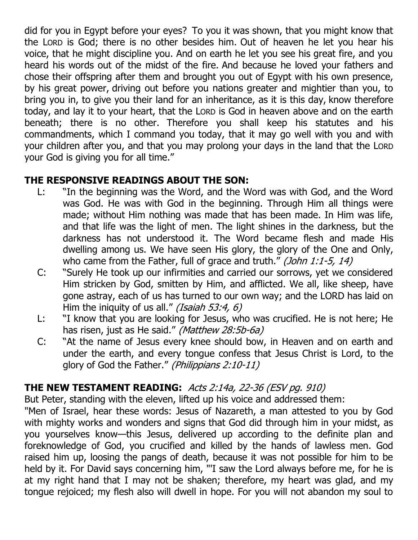did for you in Egypt before your eyes? To you it was shown, that you might know that the LORD is God; there is no other besides him. Out of heaven he let you hear his voice, that he might discipline you. And on earth he let you see his great fire, and you heard his words out of the midst of the fire. And because he loved your fathers and chose their offspring after them and brought you out of Egypt with his own presence, by his great power, driving out before you nations greater and mightier than you, to bring you in, to give you their land for an inheritance, as it is this day, know therefore today, and lay it to your heart, that the LORD is God in heaven above and on the earth beneath; there is no other. Therefore you shall keep his statutes and his commandments, which I command you today, that it may go well with you and with your children after you, and that you may prolong your days in the land that the LORD your God is giving you for all time."

# **THE RESPONSIVE READINGS ABOUT THE SON:**

- L: "In the beginning was the Word, and the Word was with God, and the Word was God. He was with God in the beginning. Through Him all things were made; without Him nothing was made that has been made. In Him was life, and that life was the light of men. The light shines in the darkness, but the darkness has not understood it. The Word became flesh and made His dwelling among us. We have seen His glory, the glory of the One and Only, who came from the Father, full of grace and truth." (John 1:1-5, 14)
- C: "Surely He took up our infirmities and carried our sorrows, yet we considered Him stricken by God, smitten by Him, and afflicted. We all, like sheep, have gone astray, each of us has turned to our own way; and the LORD has laid on Him the iniquity of us all." *(Isaiah 53:4, 6)*
- L: "I know that you are looking for Jesus, who was crucified. He is not here; He has risen, just as He said." (Matthew 28:5b-6a)
- C: "At the name of Jesus every knee should bow, in Heaven and on earth and under the earth, and every tongue confess that Jesus Christ is Lord, to the glory of God the Father." (Philippians 2:10-11)

# **THE NEW TESTAMENT READING:** Acts 2:14a, 22-36 (ESV pg. 910)

But Peter, standing with the eleven, lifted up his voice and addressed them:

"Men of Israel, hear these words: Jesus of Nazareth, a man attested to you by God with mighty works and wonders and signs that God did through him in your midst, as you yourselves know—this Jesus, delivered up according to the definite plan and foreknowledge of God, you crucified and killed by the hands of lawless men. God raised him up, loosing the pangs of death, because it was not possible for him to be held by it. For David says concerning him, "'I saw the Lord always before me, for he is at my right hand that I may not be shaken; therefore, my heart was glad, and my tongue rejoiced; my flesh also will dwell in hope. For you will not abandon my soul to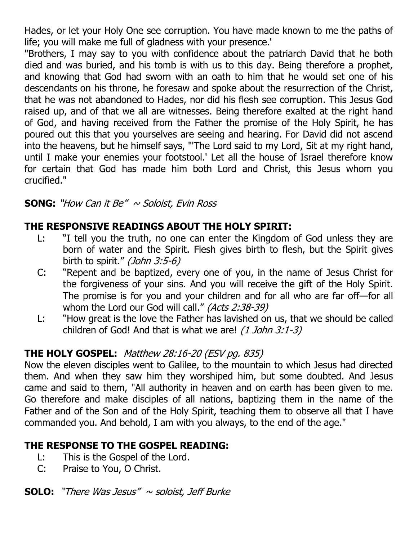Hades, or let your Holy One see corruption. You have made known to me the paths of life; you will make me full of gladness with your presence.'

"Brothers, I may say to you with confidence about the patriarch David that he both died and was buried, and his tomb is with us to this day. Being therefore a prophet, and knowing that God had sworn with an oath to him that he would set one of his descendants on his throne, he foresaw and spoke about the resurrection of the Christ, that he was not abandoned to Hades, nor did his flesh see corruption. This Jesus God raised up, and of that we all are witnesses. Being therefore exalted at the right hand of God, and having received from the Father the promise of the Holy Spirit, he has poured out this that you yourselves are seeing and hearing. For David did not ascend into the heavens, but he himself says, "'The Lord said to my Lord, Sit at my right hand, until I make your enemies your footstool.' Let all the house of Israel therefore know for certain that God has made him both Lord and Christ, this Jesus whom you crucified."

#### **SONG:** "How Can it Be"  $\sim$  Soloist, Evin Ross

#### **THE RESPONSIVE READINGS ABOUT THE HOLY SPIRIT:**

- L: "I tell you the truth, no one can enter the Kingdom of God unless they are born of water and the Spirit. Flesh gives birth to flesh, but the Spirit gives birth to spirit." (John 3:5-6)
- C: "Repent and be baptized, every one of you, in the name of Jesus Christ for the forgiveness of your sins. And you will receive the gift of the Holy Spirit. The promise is for you and your children and for all who are far off—for all whom the Lord our God will call." (Acts 2:38-39)
- L: "How great is the love the Father has lavished on us, that we should be called children of God! And that is what we are! [\(1 John 3:1-3\)](http://www.biblegateway.com/passage/?search=1%20John+3:1-3&version=31)

### **THE HOLY GOSPEL:** Matthew 28:16-20 (ESV pg. 835)

Now the eleven disciples went to Galilee, to the mountain to which Jesus had directed them. And when they saw him they worshiped him, but some doubted. And Jesus came and said to them, "All authority in heaven and on earth has been given to me. Go therefore and make disciples of all nations, baptizing them in the name of the Father and of the Son and of the Holy Spirit, teaching them to observe all that I have commanded you. And behold, I am with you always, to the end of the age."

### **THE RESPONSE TO THE GOSPEL READING:**

- L: This is the Gospel of the Lord.
- C: Praise to You, O Christ.

**SOLO:** "There Was Jesus" <sup>~</sup> soloist, Jeff Burke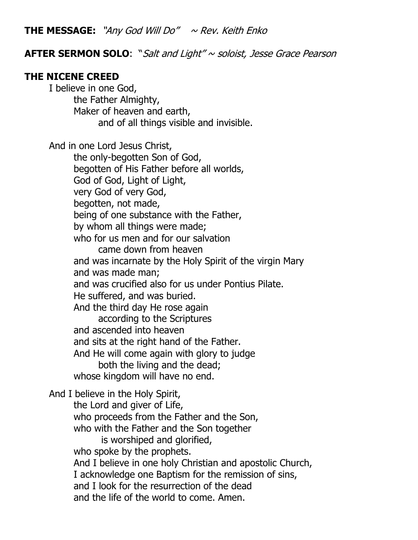**THE MESSAGE:** "Any God Will Do"  $\sim$  Rev. Keith Enko

#### **AFTER SERMON SOLO**: "Salt and Light" ~ soloist, Jesse Grace Pearson

#### **THE NICENE CREED**

I believe in one God, the Father Almighty, Maker of heaven and earth, and of all things visible and invisible. And in one Lord Jesus Christ, the only-begotten Son of God, begotten of His Father before all worlds, God of God, Light of Light, very God of very God, begotten, not made, being of one substance with the Father, by whom all things were made; who for us men and for our salvation came down from heaven and was incarnate by the Holy Spirit of the virgin Mary and was made man; and was crucified also for us under Pontius Pilate. He suffered, and was buried. And the third day He rose again according to the Scriptures and ascended into heaven and sits at the right hand of the Father. And He will come again with glory to judge both the living and the dead; whose kingdom will have no end. And I believe in the Holy Spirit, the Lord and giver of Life, who proceeds from the Father and the Son, who with the Father and the Son together is worshiped and glorified, who spoke by the prophets. And I believe in one holy Christian and apostolic Church, I acknowledge one Baptism for the remission of sins, and I look for the resurrection of the dead and the life of the world to come. Amen.